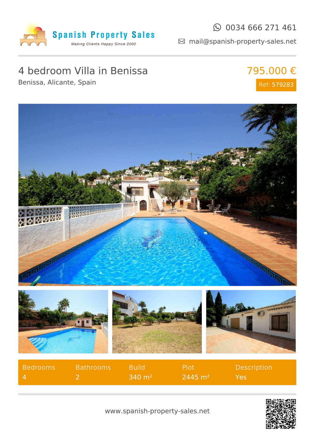

### $\odot$  0034 666 271 461

mail@spanish-property-sales.net

## 4 bedroom Villa in Benissa

Benissa, Alicante, Spain

795.000 € Ref: 579283





www.spanish-property-sales.net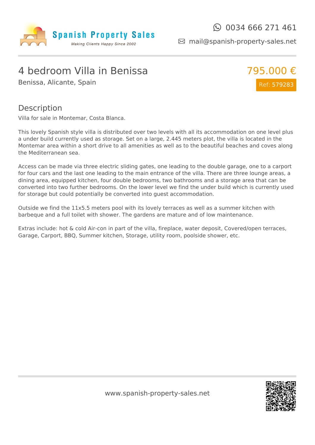

mail@spanish-property-sales.net

### 4 bedroom Villa in Benissa

Benissa, Alicante, Spain



#### Description

Villa for sale in Montemar, Costa Blanca.

This lovely Spanish style villa is distributed over two levels with all its accommodation on one level plus a under build currently used as storage. Set on a large, 2.445 meters plot, the villa is located in the Montemar area within a short drive to all amenities as well as to the beautiful beaches and coves along the Mediterranean sea.

Access can be made via three electric sliding gates, one leading to the double garage, one to a carport for four cars and the last one leading to the main entrance of the villa. There are three lounge areas, a dining area, equipped kitchen, four double bedrooms, two bathrooms and a storage area that can be converted into two further bedrooms. On the lower level we find the under build which is currently used for storage but could potentially be converted into guest accommodation.

Outside we find the 11x5.5 meters pool with its lovely terraces as well as a summer kitchen with barbeque and a full toilet with shower. The gardens are mature and of low maintenance.

Extras include: hot & cold Air-con in part of the villa, fireplace, water deposit, Covered/open terraces, Garage, Carport, BBQ, Summer kitchen, Storage, utility room, poolside shower, etc.